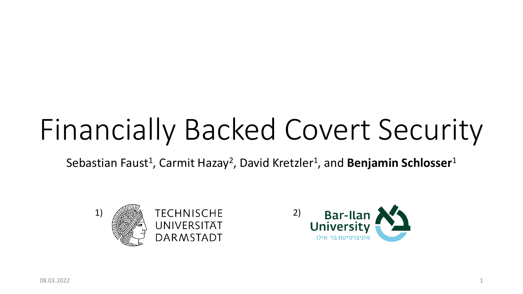# Financially Backed Covert Security

Sebastian Faust<sup>1</sup>, Carmit Hazay<sup>2</sup>, David Kretzler<sup>1</sup>, and **Benjamin Schlosser**<sup>1</sup>



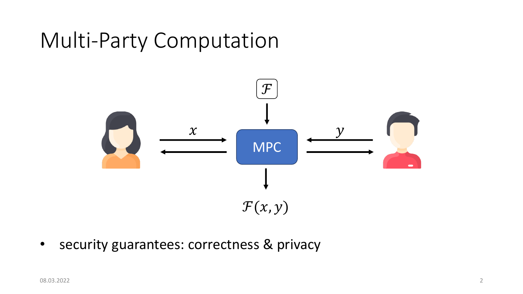## Multi-Party Computation



• security guarantees: correctness & privacy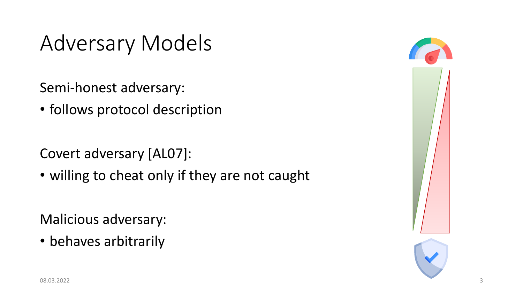## Adversary Models

Semi-honest adversary:

• follows protocol description

Covert adversary [AL07]:

• willing to cheat only if they are not caught

Malicious adversary:

• behaves arbitrarily

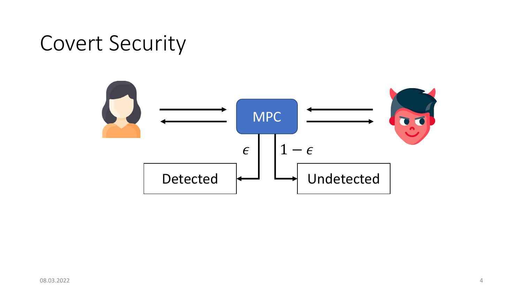## Covert Security

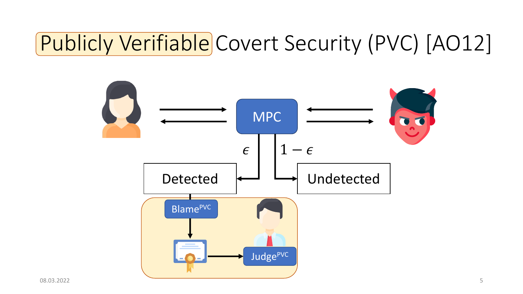## Publicly Verifiable Covert Security (PVC) [AO12]

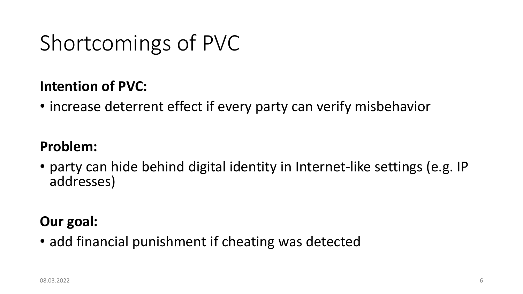## Shortcomings of PVC

### **Intention of PVC:**

• increase deterrent effect if every party can verify misbehavior

### **Problem:**

• party can hide behind digital identity in Internet-like settings (e.g. IP addresses)

### **Our goal:**

• add financial punishment if cheating was detected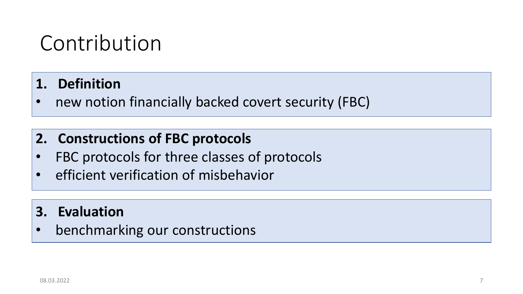## Contribution

- **1. Definition**
- new notion financially backed covert security (FBC)

### **2. Constructions of FBC protocols**

- FBC protocols for three classes of protocols
- efficient verification of misbehavior

### **3. Evaluation**

• benchmarking our constructions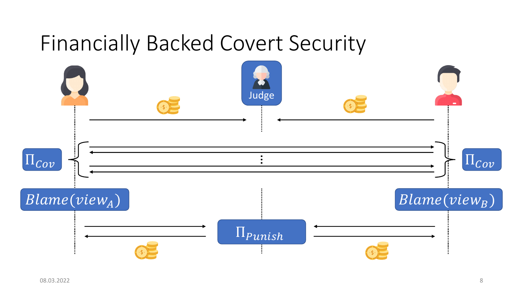### Financially Backed Covert Security

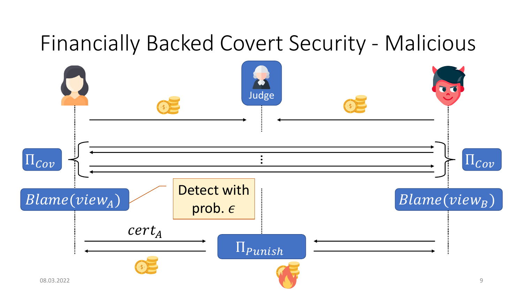### Financially Backed Covert Security - Malicious

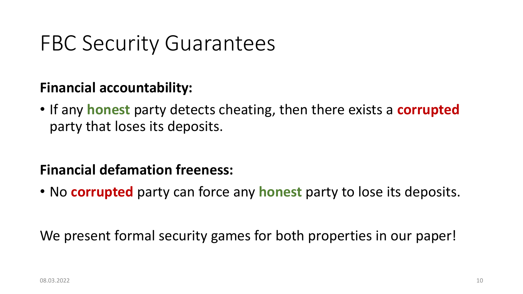## FBC Security Guarantees

### **Financial accountability:**

• If any **honest** party detects cheating, then there exists a **corrupted** party that loses its deposits.

### **Financial defamation freeness:**

• No **corrupted** party can force any **honest** party to lose its deposits.

We present formal security games for both properties in our paper!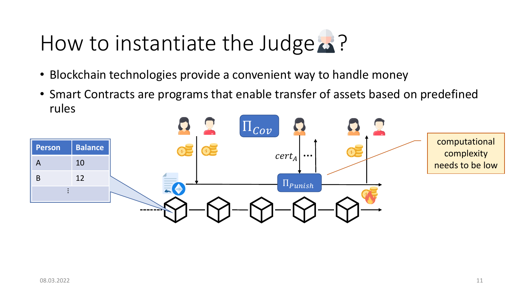## How to instantiate the Judge  $\triangle$ ?

- Blockchain technologies provide a convenient way to handle money
- Smart Contracts are programs that enable transfer of assets based on predefined rules

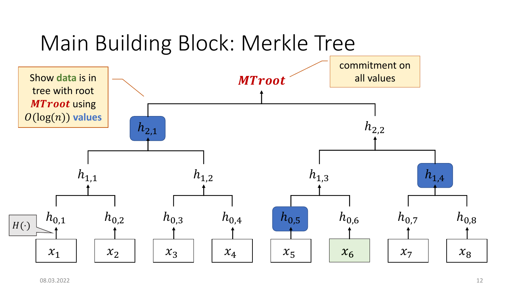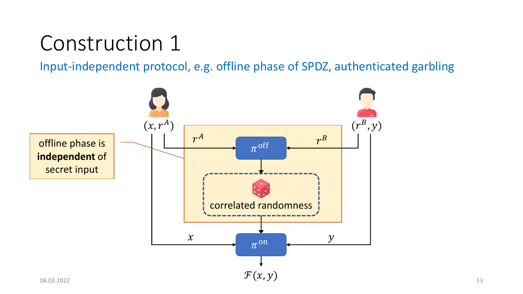## Construction 1

Input-independent protocol, e.g. offline phase of SPDZ, authenticated garbling

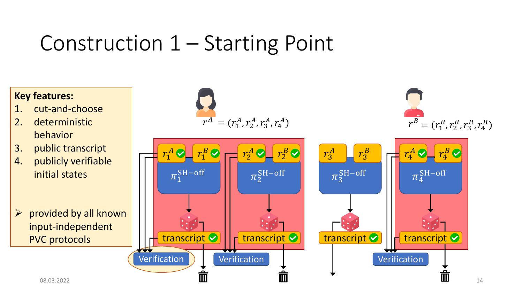## Construction 1 – Starting Point

#### **Key features:**

- 1. cut-and-choose
- 2. deterministic behavior
- 3. public transcript
- 4. publicly verifiable initial states
- $\triangleright$  provided by all known input-independent PVC protocols







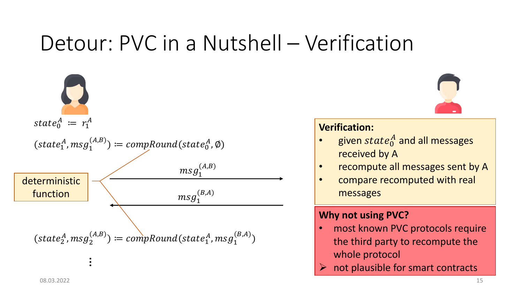## Detour: PVC in a Nutshell – Verification

 $state_0^A := r_1^A$  $(state_1^A, msg_1^{(A,B)}) \coloneqq \mathit{compRound}(state_0^A, \emptyset)$  $m$ s $g_1^{(B,A)}$  $msg_1^{(A,B)}$  $(state<sub>2</sub><sup>A</sup>, msg<sub>2</sub><sup>(A,B)</sup>) := compRound(state<sub>1</sub><sup>A</sup>, msg<sub>1</sub><sup>(B,A)</sup>)$ deterministic function



#### **Verification:**

- given  $state_0^A$  and all messages received by A
- recompute all messages sent by A
- compare recomputed with real messages

#### **Why not using PVC?**

- most known PVC protocols require the third party to recompute the whole protocol
- not plausible for smart contracts

…<br>…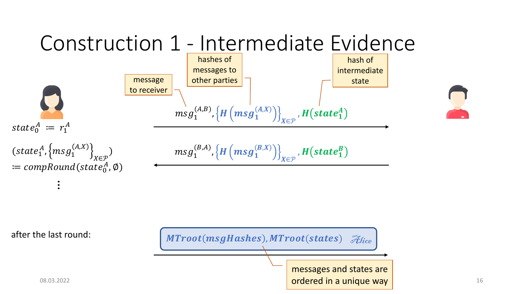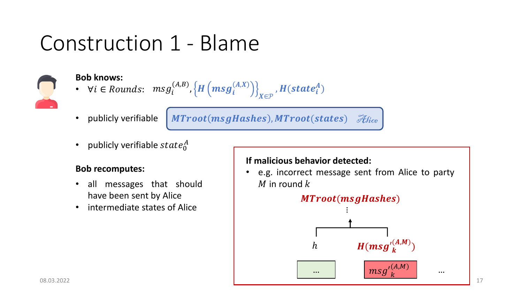## Construction 1 - Blame



#### **Bob knows:**

- $msg_i^{(A,B)},\left\{ H \left( msg_i^{(A,X)} \right) \right\}$ ∈ •  $\forall i \in \text{Rounds}: \;\; \text{msg}_i^{(A,B)}, \left\{ H\left(\text{msg}_i^{(A,X)}\right) \right\}_{X \in \mathcal{D}}, H(\text{state}_i^A)$
- publicly verifiable

MTroot(msgHashes), MTroot(states)  $\mathscr{F}_{\mathit{Hice}}$ 

• publicly verifiable  $state_0^A$ 

#### **Bob recomputes:**

- all messages that should have been sent by Alice
- intermediate states of Alice

#### **If malicious behavior detected:**

• e.g. incorrect message sent from Alice to party M in round  $k$ 

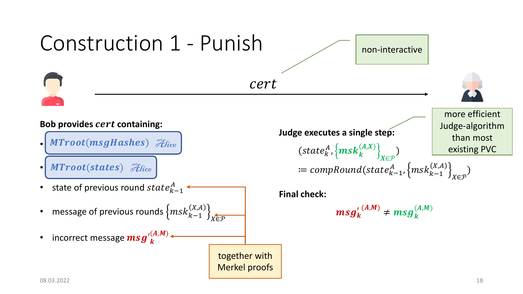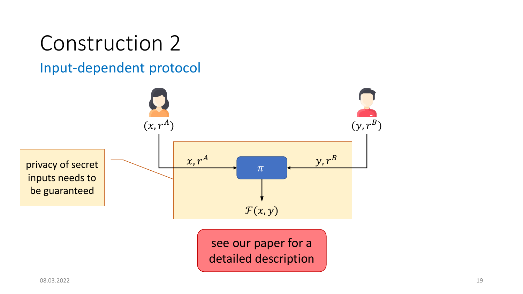## Construction 2

### Input-dependent protocol

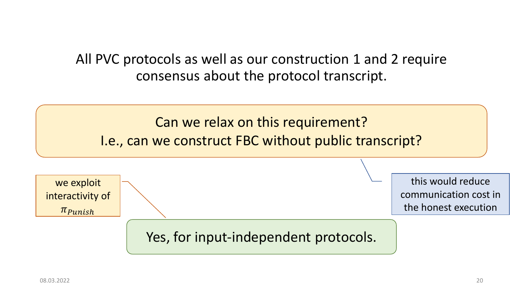### All PVC protocols as well as our construction 1 and 2 require consensus about the protocol transcript.

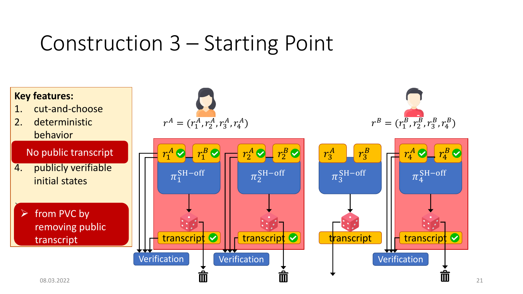## Construction 3 – Starting Point

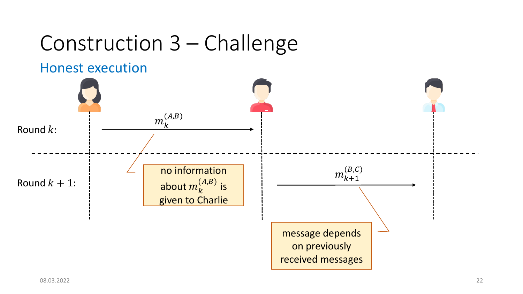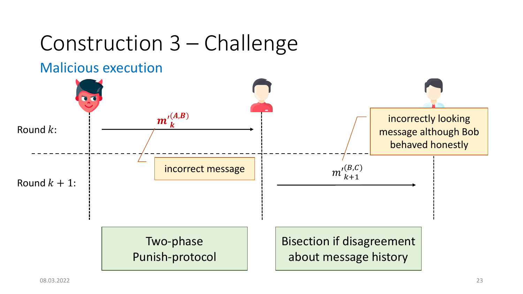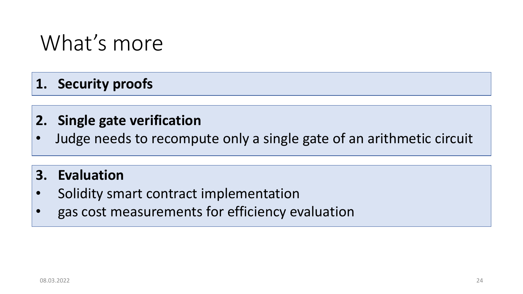### What's more

### **1. Security proofs**

### **2. Single gate verification**

• Judge needs to recompute only a single gate of an arithmetic circuit

### **3. Evaluation**

- Solidity smart contract implementation
- gas cost measurements for efficiency evaluation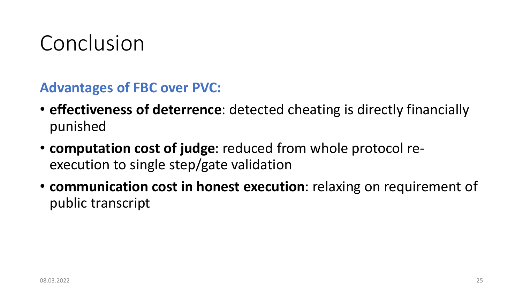## Conclusion

**Advantages of FBC over PVC:**

- **effectiveness of deterrence**: detected cheating is directly financially punished
- **computation cost of judge**: reduced from whole protocol reexecution to single step/gate validation
- **communication cost in honest execution**: relaxing on requirement of public transcript